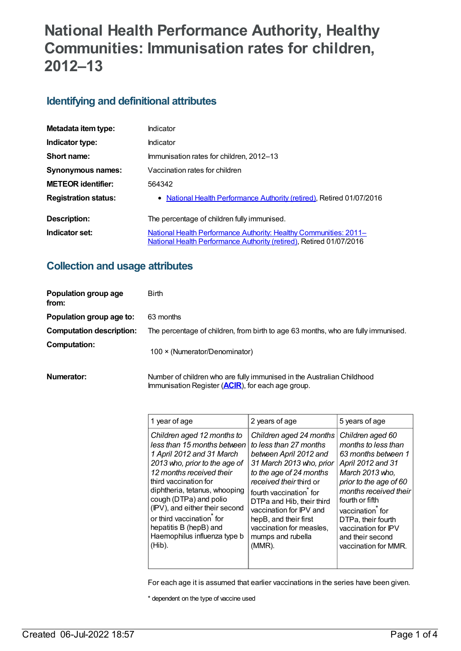# **National Health Performance Authority, Healthy Communities: Immunisation rates for children, 2012–13**

### **Identifying and definitional attributes**

| Metadata item type:         | Indicator                                                                                                                                |
|-----------------------------|------------------------------------------------------------------------------------------------------------------------------------------|
| Indicator type:             | Indicator                                                                                                                                |
| Short name:                 | Immunisation rates for children, 2012–13                                                                                                 |
| <b>Synonymous names:</b>    | Vaccination rates for children                                                                                                           |
| <b>METEOR identifier:</b>   | 564342                                                                                                                                   |
| <b>Registration status:</b> | • National Health Performance Authority (retired), Retired 01/07/2016                                                                    |
| Description:                | The percentage of children fully immunised.                                                                                              |
| Indicator set:              | National Health Performance Authority: Healthy Communities: 2011-<br>National Health Performance Authority (retired), Retired 01/07/2016 |

### **Collection and usage attributes**

| Population group age<br>from:   | <b>Birth</b>                                                                      |
|---------------------------------|-----------------------------------------------------------------------------------|
| Population group age to:        | 63 months                                                                         |
| <b>Computation description:</b> | The percentage of children, from birth to age 63 months, who are fully immunised. |
| <b>Computation:</b>             | 100 × (Numerator/Denominator)                                                     |

**Numerator:** Number of children who are fully immunised in the Australian Childhood Immunisation Register (**[ACIR](https://meteor.aihw.gov.au/content/523595)**), for each age group.

| 1 year of age                  | 2 years of age            | 5 years of age         |
|--------------------------------|---------------------------|------------------------|
| Children aged 12 months to     | Children aged 24 months   | Children aged 60       |
| less than 15 months between    | to less than 27 months    | months to less than    |
| 1 April 2012 and 31 March      | between April 2012 and    | 63 months between 1    |
| 2013 who, prior to the age of  | 31 March 2013 who, prior  | April 2012 and 31      |
| 12 months received their       | to the age of 24 months   | March 2013 who.        |
| third vaccination for          | received their third or   | prior to the age of 60 |
| diphtheria, tetanus, whooping  | fourth vaccination for    | months received their  |
| cough (DTPa) and polio         | DTPa and Hib, their third | fourth or fifth        |
| (IPV), and either their second | vaccination for IPV and   | vaccination for        |
| or third vaccination for       | hepB, and their first     | DTPa, their fourth     |
| hepatitis B (hepB) and         | vaccination for measles,  | vaccination for IPV    |
| Haemophilus influenza type b   | mumps and rubella         | and their second       |
| (Hib).                         | (MMR).                    | vaccination for MMR.   |

For each age it is assumed that earlier vaccinations in the series have been given.

\* dependent on the type of vaccine used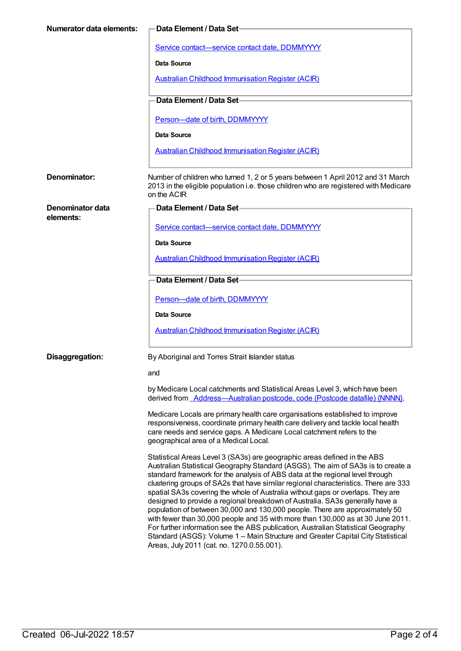| <b>Numerator data elements:</b> | <b>Data Element / Data Set-</b>                                                                                                                                                                                                                                                                                                                                                                                                                                                                                                                                                                                                                                                                                                                                                                                                                                                                 |
|---------------------------------|-------------------------------------------------------------------------------------------------------------------------------------------------------------------------------------------------------------------------------------------------------------------------------------------------------------------------------------------------------------------------------------------------------------------------------------------------------------------------------------------------------------------------------------------------------------------------------------------------------------------------------------------------------------------------------------------------------------------------------------------------------------------------------------------------------------------------------------------------------------------------------------------------|
|                                 | Service contact-service contact date, DDMMYYYY                                                                                                                                                                                                                                                                                                                                                                                                                                                                                                                                                                                                                                                                                                                                                                                                                                                  |
|                                 | Data Source                                                                                                                                                                                                                                                                                                                                                                                                                                                                                                                                                                                                                                                                                                                                                                                                                                                                                     |
|                                 | <b>Australian Childhood Immunisation Register (ACIR)</b>                                                                                                                                                                                                                                                                                                                                                                                                                                                                                                                                                                                                                                                                                                                                                                                                                                        |
|                                 | Data Element / Data Set-                                                                                                                                                                                                                                                                                                                                                                                                                                                                                                                                                                                                                                                                                                                                                                                                                                                                        |
|                                 | Person-date of birth, DDMMYYYY                                                                                                                                                                                                                                                                                                                                                                                                                                                                                                                                                                                                                                                                                                                                                                                                                                                                  |
|                                 | Data Source                                                                                                                                                                                                                                                                                                                                                                                                                                                                                                                                                                                                                                                                                                                                                                                                                                                                                     |
|                                 | <b>Australian Childhood Immunisation Register (ACIR)</b>                                                                                                                                                                                                                                                                                                                                                                                                                                                                                                                                                                                                                                                                                                                                                                                                                                        |
| Denominator:                    | Number of children who turned 1, 2 or 5 years between 1 April 2012 and 31 March<br>2013 in the eligible population i.e. those children who are registered with Medicare<br>on the ACIR                                                                                                                                                                                                                                                                                                                                                                                                                                                                                                                                                                                                                                                                                                          |
| Denominator data<br>elements:   | Data Element / Data Set                                                                                                                                                                                                                                                                                                                                                                                                                                                                                                                                                                                                                                                                                                                                                                                                                                                                         |
|                                 | Service contact-service contact date, DDMMYYYY                                                                                                                                                                                                                                                                                                                                                                                                                                                                                                                                                                                                                                                                                                                                                                                                                                                  |
|                                 | Data Source                                                                                                                                                                                                                                                                                                                                                                                                                                                                                                                                                                                                                                                                                                                                                                                                                                                                                     |
|                                 | <b>Australian Childhood Immunisation Register (ACIR)</b>                                                                                                                                                                                                                                                                                                                                                                                                                                                                                                                                                                                                                                                                                                                                                                                                                                        |
|                                 | Data Element / Data Set-                                                                                                                                                                                                                                                                                                                                                                                                                                                                                                                                                                                                                                                                                                                                                                                                                                                                        |
|                                 | Person-date of birth, DDMMYYYY                                                                                                                                                                                                                                                                                                                                                                                                                                                                                                                                                                                                                                                                                                                                                                                                                                                                  |
|                                 | Data Source                                                                                                                                                                                                                                                                                                                                                                                                                                                                                                                                                                                                                                                                                                                                                                                                                                                                                     |
|                                 | <b>Australian Childhood Immunisation Register (ACIR)</b>                                                                                                                                                                                                                                                                                                                                                                                                                                                                                                                                                                                                                                                                                                                                                                                                                                        |
| Disaggregation:                 | By Aboriginal and Torres Strait Islander status                                                                                                                                                                                                                                                                                                                                                                                                                                                                                                                                                                                                                                                                                                                                                                                                                                                 |
|                                 | and                                                                                                                                                                                                                                                                                                                                                                                                                                                                                                                                                                                                                                                                                                                                                                                                                                                                                             |
|                                 | by Medicare Local catchments and Statistical Areas Level 3, which have been<br>derived from Address-Australian postcode, code (Postcode datafile) {NNNN}.                                                                                                                                                                                                                                                                                                                                                                                                                                                                                                                                                                                                                                                                                                                                       |
|                                 | Medicare Locals are primary health care organisations established to improve<br>responsiveness, coordinate primary health care delivery and tackle local health<br>care needs and service gaps. A Medicare Local catchment refers to the<br>geographical area of a Medical Local.                                                                                                                                                                                                                                                                                                                                                                                                                                                                                                                                                                                                               |
|                                 | Statistical Areas Level 3 (SA3s) are geographic areas defined in the ABS<br>Australian Statistical Geography Standard (ASGS). The aim of SA3s is to create a<br>standard framework for the analysis of ABS data at the regional level through<br>clustering groups of SA2s that have similar regional characteristics. There are 333<br>spatial SA3s covering the whole of Australia without gaps or overlaps. They are<br>designed to provide a regional breakdown of Australia. SA3s generally have a<br>population of between 30,000 and 130,000 people. There are approximately 50<br>with fewer than 30,000 people and 35 with more than 130,000 as at 30 June 2011.<br>For further information see the ABS publication, Australian Statistical Geography<br>Standard (ASGS): Volume 1 - Main Structure and Greater Capital City Statistical<br>Areas, July 2011 (cat. no. 1270.0.55.001). |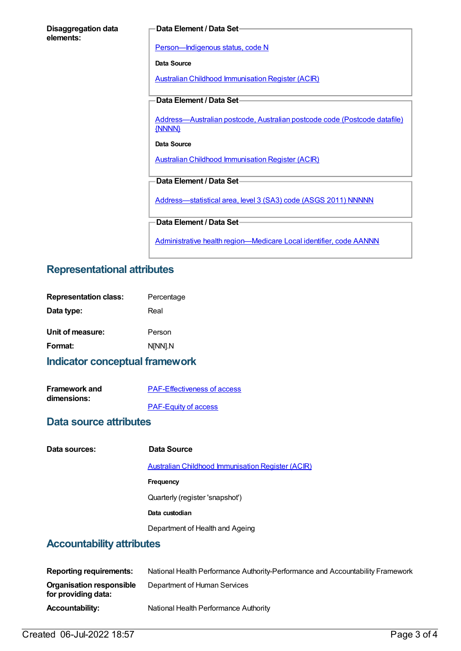| <b>Disaggregation data</b> |  |
|----------------------------|--|
| elements:                  |  |

#### **Data Element / Data Set**

[Person—Indigenous](https://meteor.aihw.gov.au/content/291036) status, code N

**Data Source**

Australian Childhood [Immunisation](https://meteor.aihw.gov.au/content/394254) Register (ACIR)

#### **Data Element / Data Set**

[Address—Australian](https://meteor.aihw.gov.au/content/429894) postcode, Australian postcode code (Postcode datafile) {NNNN}

#### **Data Source**

Australian Childhood [Immunisation](https://meteor.aihw.gov.au/content/394254) Register (ACIR)

#### **Data Element / Data Set**

[Address—statistical](https://meteor.aihw.gov.au/content/457293) area, level 3 (SA3) code (ASGS 2011) NNNNN

#### **Data Element / Data Set**

Administrative health [region—Medicare](https://meteor.aihw.gov.au/content/513288) Local identifier, code AANNN

### **Representational attributes**

| <b>Representation class:</b> | Percentage |
|------------------------------|------------|
| Data type:                   | Real       |
| Unit of measure:             | Person     |
| Format:                      | N[NN].N    |

### **Indicator conceptual framework**

| <b>Framework and</b> | <b>PAF-Effectiveness of access</b> |
|----------------------|------------------------------------|
| dimensions:          |                                    |
|                      | <b>PAF-Equity of access</b>        |

#### **Data source attributes**

| Data sources: |  |
|---------------|--|
|               |  |

#### **Data Source**

Australian Childhood [Immunisation](https://meteor.aihw.gov.au/content/394254) Register (ACIR)

**Frequency**

Quarterly (register 'snapshot')

**Data custodian**

Department of Health and Ageing

### **Accountability attributes**

| <b>Reporting requirements:</b>                  | National Health Performance Authority-Performance and Accountability Framework |
|-------------------------------------------------|--------------------------------------------------------------------------------|
| Organisation responsible<br>for providing data: | Department of Human Services                                                   |
| <b>Accountability:</b>                          | National Health Performance Authority                                          |